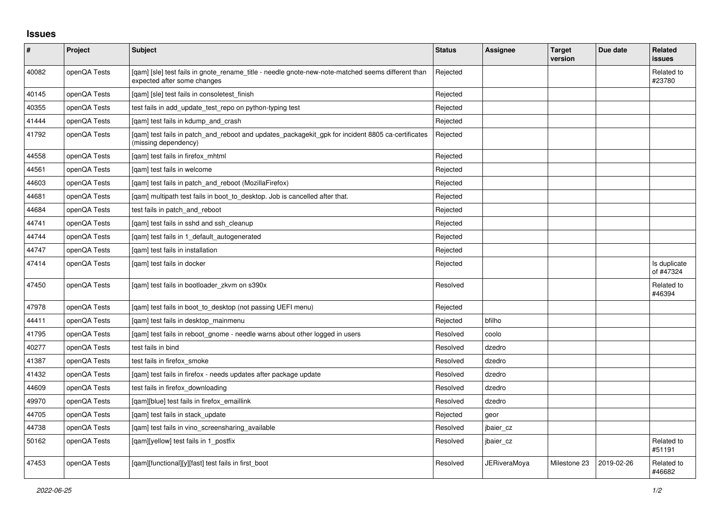## **Issues**

| $\pmb{\#}$ | Project      | <b>Subject</b>                                                                                                                   | <b>Status</b> | Assignee     | <b>Target</b><br>version | Due date   | Related<br>issues         |
|------------|--------------|----------------------------------------------------------------------------------------------------------------------------------|---------------|--------------|--------------------------|------------|---------------------------|
| 40082      | openQA Tests | [gam] [sle] test fails in gnote rename title - needle gnote-new-note-matched seems different than<br>expected after some changes | Rejected      |              |                          |            | Related to<br>#23780      |
| 40145      | openQA Tests | [qam] [sle] test fails in consoletest_finish                                                                                     | Rejected      |              |                          |            |                           |
| 40355      | openQA Tests | test fails in add update test repo on python-typing test                                                                         | Rejected      |              |                          |            |                           |
| 41444      | openQA Tests | [gam] test fails in kdump and crash                                                                                              | Rejected      |              |                          |            |                           |
| 41792      | openQA Tests | [qam] test fails in patch_and_reboot and updates_packagekit_gpk for incident 8805 ca-certificates<br>(missing dependency)        | Rejected      |              |                          |            |                           |
| 44558      | openQA Tests | [qam] test fails in firefox_mhtml                                                                                                | Rejected      |              |                          |            |                           |
| 44561      | openQA Tests | [gam] test fails in welcome                                                                                                      | Rejected      |              |                          |            |                           |
| 44603      | openQA Tests | [gam] test fails in patch and reboot (MozillaFirefox)                                                                            | Rejected      |              |                          |            |                           |
| 44681      | openQA Tests | [qam] multipath test fails in boot_to_desktop. Job is cancelled after that.                                                      | Rejected      |              |                          |            |                           |
| 44684      | openQA Tests | test fails in patch and reboot                                                                                                   | Rejected      |              |                          |            |                           |
| 44741      | openQA Tests | [gam] test fails in sshd and ssh cleanup                                                                                         | Rejected      |              |                          |            |                           |
| 44744      | openQA Tests | [qam] test fails in 1_default_autogenerated                                                                                      | Rejected      |              |                          |            |                           |
| 44747      | openQA Tests | [gam] test fails in installation                                                                                                 | Rejected      |              |                          |            |                           |
| 47414      | openQA Tests | [gam] test fails in docker                                                                                                       | Rejected      |              |                          |            | Is duplicate<br>of #47324 |
| 47450      | openQA Tests | [qam] test fails in bootloader_zkvm on s390x                                                                                     | Resolved      |              |                          |            | Related to<br>#46394      |
| 47978      | openQA Tests | [qam] test fails in boot_to_desktop (not passing UEFI menu)                                                                      | Rejected      |              |                          |            |                           |
| 44411      | openQA Tests | [gam] test fails in desktop mainmenu                                                                                             | Rejected      | bfilho       |                          |            |                           |
| 41795      | openQA Tests | [gam] test fails in reboot gnome - needle warns about other logged in users                                                      | Resolved      | coolo        |                          |            |                           |
| 40277      | openQA Tests | test fails in bind                                                                                                               | Resolved      | dzedro       |                          |            |                           |
| 41387      | openQA Tests | test fails in firefox smoke                                                                                                      | Resolved      | dzedro       |                          |            |                           |
| 41432      | openQA Tests | [gam] test fails in firefox - needs updates after package update                                                                 | Resolved      | dzedro       |                          |            |                           |
| 44609      | openQA Tests | test fails in firefox_downloading                                                                                                | Resolved      | dzedro       |                          |            |                           |
| 49970      | openQA Tests | [gam][blue] test fails in firefox emaillink                                                                                      | Resolved      | dzedro       |                          |            |                           |
| 44705      | openQA Tests | [gam] test fails in stack update                                                                                                 | Rejected      | geor         |                          |            |                           |
| 44738      | openQA Tests | [gam] test fails in vino screensharing available                                                                                 | Resolved      | jbaier_cz    |                          |            |                           |
| 50162      | openQA Tests | [qam][yellow] test fails in 1_postfix                                                                                            | Resolved      | jbaier_cz    |                          |            | Related to<br>#51191      |
| 47453      | openQA Tests | [gam][functional][y][fast] test fails in first boot                                                                              | Resolved      | JERiveraMoya | Milestone 23             | 2019-02-26 | Related to<br>#46682      |